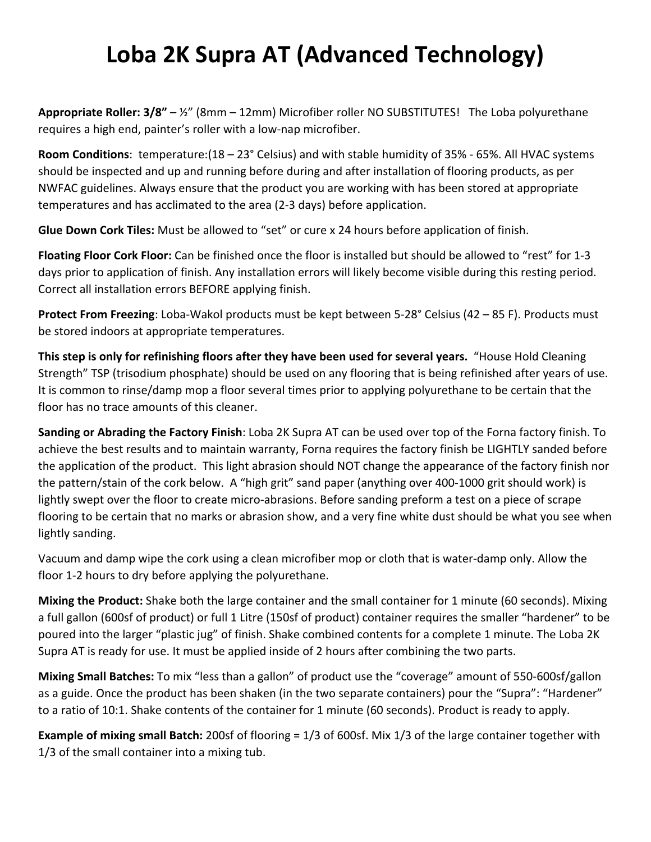## **Loba 2K Supra AT (Advanced Technology)**

**Appropriate Roller: 3/8"** – ½" (8mm – 12mm) Microfiber roller NO SUBSTITUTES! The Loba polyurethane requires a high end, painter's roller with a low-nap microfiber.

**Room Conditions**: temperature:(18 – 23° Celsius) and with stable humidity of 35% - 65%. All HVAC systems should be inspected and up and running before during and after installation of flooring products, as per NWFAC guidelines. Always ensure that the product you are working with has been stored at appropriate temperatures and has acclimated to the area (2-3 days) before application.

**Glue Down Cork Tiles:** Must be allowed to "set" or cure x 24 hours before application of finish.

**Floating Floor Cork Floor:** Can be finished once the floor is installed but should be allowed to "rest" for 1-3 days prior to application of finish. Any installation errors will likely become visible during this resting period. Correct all installation errors BEFORE applying finish.

**Protect From Freezing**: Loba-Wakol products must be kept between 5-28° Celsius (42 – 85 F). Products must be stored indoors at appropriate temperatures.

**This step is only for refinishing floors after they have been used for several years.** "House Hold Cleaning Strength" TSP (trisodium phosphate) should be used on any flooring that is being refinished after years of use. It is common to rinse/damp mop a floor several times prior to applying polyurethane to be certain that the floor has no trace amounts of this cleaner.

**Sanding or Abrading the Factory Finish**: Loba 2K Supra AT can be used over top of the Forna factory finish. To achieve the best results and to maintain warranty, Forna requires the factory finish be LIGHTLY sanded before the application of the product. This light abrasion should NOT change the appearance of the factory finish nor the pattern/stain of the cork below. A "high grit" sand paper (anything over 400-1000 grit should work) is lightly swept over the floor to create micro-abrasions. Before sanding preform a test on a piece of scrape flooring to be certain that no marks or abrasion show, and a very fine white dust should be what you see when lightly sanding.

Vacuum and damp wipe the cork using a clean microfiber mop or cloth that is water-damp only. Allow the floor 1-2 hours to dry before applying the polyurethane.

**Mixing the Product:** Shake both the large container and the small container for 1 minute (60 seconds). Mixing a full gallon (600sf of product) or full 1 Litre (150sf of product) container requires the smaller "hardener" to be poured into the larger "plastic jug" of finish. Shake combined contents for a complete 1 minute. The Loba 2K Supra AT is ready for use. It must be applied inside of 2 hours after combining the two parts.

**Mixing Small Batches:** To mix "less than a gallon" of product use the "coverage" amount of 550-600sf/gallon as a guide. Once the product has been shaken (in the two separate containers) pour the "Supra": "Hardener" to a ratio of 10:1. Shake contents of the container for 1 minute (60 seconds). Product is ready to apply.

**Example of mixing small Batch:** 200sf of flooring = 1/3 of 600sf. Mix 1/3 of the large container together with 1/3 of the small container into a mixing tub.